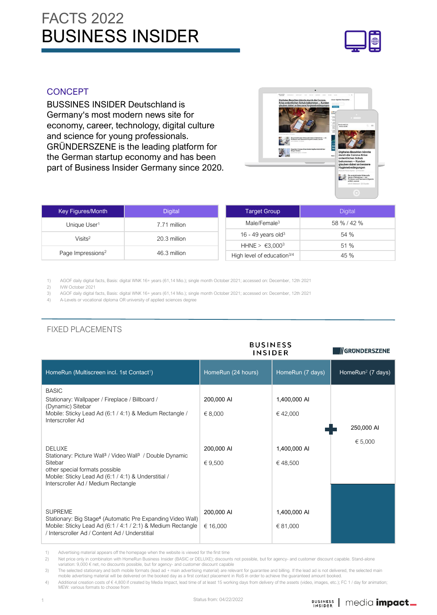

#### **CONCEPT**

BUSSINES INSIDER Deutschland is Germany's most modern news site for economy, career, technology, digital culture and science for young professionals. GRÜNDERSZENE is the leading platform for the German startup economy and has been part of Business Insider Germany since 2020.



| Key Figures/Month                        | <b>Digital</b>             | Target Group                           | <b>Digital</b> |
|------------------------------------------|----------------------------|----------------------------------------|----------------|
| Unique User <sup>1</sup><br>7.71 million |                            | Male/Female $3$                        | 58 % / 42 %    |
| Visits <sup>2</sup>                      | 20.3 million               |                                        | 54 %           |
|                                          | HHNE > €3,000 <sup>3</sup> | 51 %                                   |                |
| Page Impressions <sup>2</sup>            | 46.3 million               | High level of education <sup>3/4</sup> | 45 %           |

1) AGOF daily digital facts, Basis: digital WNK 16+ years (61,14 Mio.); single month October 2021; accessed on: December, 12th 2021

2) IVW October 2021<br>3) AGOF daily digital

3) AGOF daily digital facts, Basis: digital WNK 16+ years (61,14 Mio.); single month October 2021; accessed on: December, 12th 2021<br>4) A J evels or vocational diploma OR university of annijed sciences degree

4) A-Levels or vocational diploma OR university of applied sciences degree

|                                                                                                                                                                                                                                              | <b>BUSINESS</b><br><b>INSIDER</b> | GRUNDERSZENE             |                               |
|----------------------------------------------------------------------------------------------------------------------------------------------------------------------------------------------------------------------------------------------|-----------------------------------|--------------------------|-------------------------------|
| HomeRun (Multiscreen incl. 1st Contact <sup>1</sup> )                                                                                                                                                                                        | HomeRun (24 hours)                | HomeRun (7 days)         | HomeRun <sup>2</sup> (7 days) |
| <b>BASIC</b><br>Stationary: Wallpaper / Fireplace / Billboard /<br>(Dynamic) Sitebar<br>Mobile: Sticky Lead Ad (6:1 / 4:1) & Medium Rectangle /<br>Interscroller Ad                                                                          | 200,000 AI<br>€ 8,000             | 1,400,000 AI<br>€42,000  | 250,000 AI                    |
| <b>DELUXE</b><br>Stationary: Picture Wall <sup>3</sup> / Video Wall <sup>3</sup> / Double Dynamic<br>Sitebar<br>other special formats possible<br>Mobile: Sticky Lead Ad (6:1 / 4:1) & Understitial /<br>Interscroller Ad / Medium Rectangle | 200,000 AI<br>€ 9,500             | 1,400,000 AI<br>€48,500  | € 5,000                       |
| <b>SUPREME</b><br>Stationary: Big Stage <sup>4</sup> (Automatic Pre Expanding Video Wall)<br>Mobile: Sticky Lead Ad (6:1 / 4:1 / 2:1) & Medium Rectangle<br>/ Interscroller Ad / Content Ad / Understitial                                   | 200,000 AI<br>€ 16,000            | 1,400,000 AI<br>€ 81,000 |                               |

## FIXED PLACEMENTS

1) Advertising material appears off the homepage when the website is viewed for the first time

2) Net price only in combinaton with HomeRun Business Insider (BASIC or DELUXE); discounts not possible, but for agency- and customer discount capable. Stand-alone variation: 9,000 € net, no discounts possible, but for agency- and customer discount capable

3) The selected stationary and both mobile formats (lead ad + main advertising material) are relevant for guarantee and billing. If the lead ad is not delivered, the selected main<br>3) mobile advertising material will be del

4) Additional creation costs of € 4,800 if created by Media Impact, lead time of at least 15 working days from delivery of the assets (video, images, etc.); FC 1 / day for animation; MEW: various formats to choose from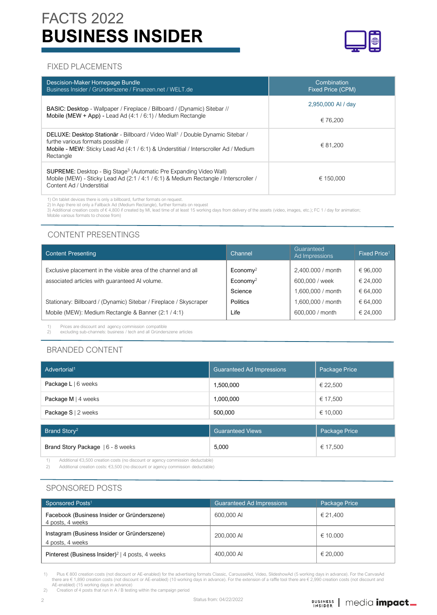# **BUSINESS INSIDER** FACTS 2022



#### FIXED PLACEMENTS

| Descision-Maker Homepage Bundle<br>Business Insider / Gründerszene / Finanzen.net / WELT.de                                                                                                                                        | Combination<br>Fixed Price (CPM) |
|------------------------------------------------------------------------------------------------------------------------------------------------------------------------------------------------------------------------------------|----------------------------------|
| BASIC: Desktop - Wallpaper / Fireplace / Billboard / (Dynamic) Sitebar //                                                                                                                                                          | 2,950,000 AI / day               |
| Mobile (MEW + App) - Lead Ad (4:1 / 6:1) / Medium Rectangle                                                                                                                                                                        | € 76.200                         |
| DELUXE: Desktop Stationär - Billboard / Video Wall <sup>1</sup> / Double Dynamic Sitebar /<br>furthe various formats possible //<br>Mobile - MEW: Sticky Lead Ad (4:1/6:1) & Understitial / Interscroller Ad / Medium<br>Rectangle | € 81.200                         |
| SUPREME: Desktop - Big Stage <sup>3</sup> (Automatic Pre Expanding Video Wall)<br>Mobile (MEW) - Sticky Lead Ad (2:1 / 4:1 / 6:1) & Medium Rectangle / Interscroller /<br>Content Ad / Understitial                                | € 150.000                        |

1) On tablet devices there is only a billboard, further formats on request.

2) In App there ist only a Fallback Ad (Medium Rectangle), further formats on request<br>3) Additional creation costs of € 4,800 if created by MI, lead time of at least 15 working days from delivery of the assets (video, ima

Mobile various formats to choose from)

## CONTENT PRESENTINGS

| <b>Content Presenting</b>                                          | Channel           | Guaranteed<br>Ad Impressions | Fixed Price <sup>1</sup> |
|--------------------------------------------------------------------|-------------------|------------------------------|--------------------------|
| Exclusive placement in the visible area of the channel and all     | $E_{\rm conomy2}$ | 2,400.000 / month            | €96,000                  |
| associated articles with guaranteed AI volume.                     | $E_{\rm conomy2}$ | 600,000 / week               | € 24,000                 |
|                                                                    | Science           | 1,600,000 / month            | € 64,000                 |
| Stationary: Billboard / (Dynamic) Sitebar / Fireplace / Skyscraper | <b>Politics</b>   | 1,600,000 / month            | € 64,000                 |
| Mobile (MEW): Medium Rectangle & Banner (2:1 / 4:1)                | Life              | 600,000 / month              | € 24.000                 |

1) Prices are discount and agency commission compatible<br>2) excluding sub-channels: business / tech and all Gründers 2) excluding sub-channels: business / tech and all Gründerszene articles

## BRANDED CONTENT

| Advertorial <sup>1</sup>          | <b>Guaranteed Ad Impressions</b> | Package Price |
|-----------------------------------|----------------------------------|---------------|
| Package $L   6$ weeks             | 1,500,000                        | € 22,500      |
| Package M   4 weeks               | 1,000,000                        | € 17,500      |
| Package $S \mid 2$ weeks          | 500,000                          | € 10,000      |
| Brand Story <sup>2</sup>          | <b>Guaranteed Views</b>          | Package Price |
|                                   |                                  |               |
| Brand Story Package   6 - 8 weeks | 5,000                            | € 17,500      |

1) Additional €3,500 creation costs (no discount or agency commission deductable)

2) Additional creation costs: €3,500 (no discount or agency commission deductable)

## SPONSORED POSTS

| Sponsored Posts <sup>1</sup>                                     | <b>Guaranteed Ad Impressions</b> | Package Price     |
|------------------------------------------------------------------|----------------------------------|-------------------|
| Facebook (Business Insider or Gründerszene)<br>4 posts, 4 weeks  | 600,000 AI                       | € 21.400          |
| Instagram (Business Insider or Gründerszene)<br>4 posts, 4 weeks | 200,000 AI                       | $\epsilon$ 10.000 |
| Pinterest (Business Insider) <sup>2</sup>   4 posts, 4 weeks     | 400,000 AI                       | € 20,000          |

1) Plus € 800 creation costs (not discount or AE-enabled) for the advertising formats Classic, CarousselAd, Video, SlideshowAd (5 working days in advance). For the CanvasAd there are € 1,890 creation costs (not discount or AE-enabled) (10 working days in advance). For the extension of a raffle tool there are € 2,990 creation costs (not discount and<br>AE-enabled) (15 working days in advance)<br>2)

2